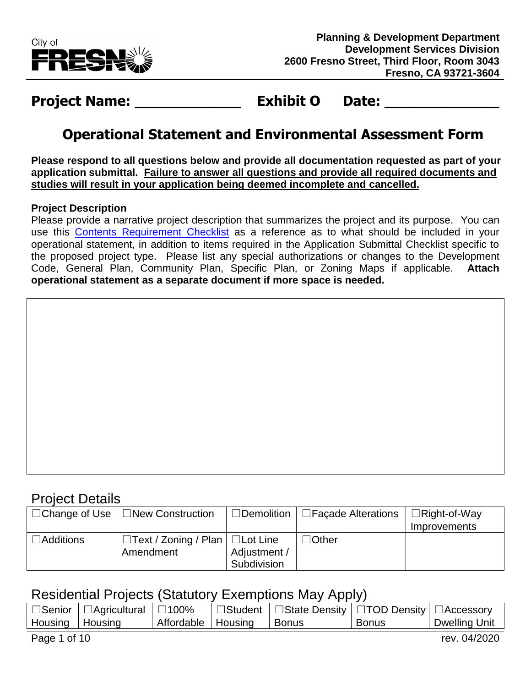

# **Project Name: Exhibit O Date:**

### **Operational Statement and Environmental Assessment Form**

**Please respond to all questions below and provide all documentation requested as part of your application submittal. Failure to answer all questions and provide all required documents and studies will result in your application being deemed incomplete and cancelled.**

#### **Project Description**

Please provide a narrative project description that summarizes the project and its purpose. You can use this [Contents Requirement Checklist](https://webapp.fresno.gov/docs/darm/PlanningDocs/G1%20-%20Contents%20Requirements%20Checklist.pdf) as a reference as to what should be included in your operational statement, in addition to items required in the Application Submittal Checklist specific to the proposed project type. Please list any special authorizations or changes to the Development Code, General Plan, Community Plan, Specific Plan, or Zoning Maps if applicable. **Attach operational statement as a separate document if more space is needed.**

#### Project Details

|                  | $\Box$ Change of Use $\Box$ New Construction | □Demolition  | $\Box$ Facade Alterations | $\Box$ Right-of-Way |
|------------------|----------------------------------------------|--------------|---------------------------|---------------------|
|                  |                                              |              |                           | Improvements        |
| $\Box$ Additions | $\Box$ Text / Zoning / Plan $ \Box$ Lot Line |              | $\Box$ Other              |                     |
|                  | Amendment                                    | Adjustment / |                           |                     |
|                  |                                              | Subdivision  |                           |                     |

### Residential Projects (Statutory Exemptions May Apply)

|                   | $\Box$ Senior   $\Box$ Agricultural   $\Box$ 100% |                              | □ Student   □ State Density   □ TOD Density   □ Accessory |       |               |
|-------------------|---------------------------------------------------|------------------------------|-----------------------------------------------------------|-------|---------------|
| Housing   Housing |                                                   | Affordable   Housing   Bonus |                                                           | Bonus | Dwelling Unit |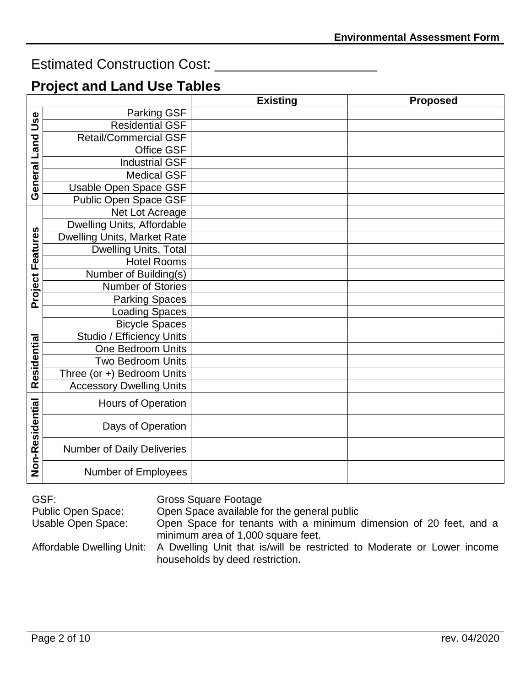### Estimated Construction Cost: \_\_\_\_\_\_\_\_\_\_\_\_\_\_\_\_\_\_\_\_\_

### **Project and Land Use Tables**

|                  |                                    | <b>Existing</b> | <b>Proposed</b> |
|------------------|------------------------------------|-----------------|-----------------|
|                  | Parking GSF                        |                 |                 |
| Use              | <b>Residential GSF</b>             |                 |                 |
| <b>Land</b>      | <b>Retail/Commercial GSF</b>       |                 |                 |
|                  | Office GSF                         |                 |                 |
|                  | <b>Industrial GSF</b>              |                 |                 |
|                  | <b>Medical GSF</b>                 |                 |                 |
| General          | Usable Open Space GSF              |                 |                 |
|                  | Public Open Space GSF              |                 |                 |
|                  | Net Lot Acreage                    |                 |                 |
|                  | Dwelling Units, Affordable         |                 |                 |
|                  | <b>Dwelling Units, Market Rate</b> |                 |                 |
|                  | Dwelling Units, Total              |                 |                 |
|                  | <b>Hotel Rooms</b>                 |                 |                 |
|                  | Number of Building(s)              |                 |                 |
| Project Features | <b>Number of Stories</b>           |                 |                 |
|                  | <b>Parking Spaces</b>              |                 |                 |
|                  | <b>Loading Spaces</b>              |                 |                 |
|                  | <b>Bicycle Spaces</b>              |                 |                 |
|                  | Studio / Efficiency Units          |                 |                 |
| Residential      | One Bedroom Units                  |                 |                 |
|                  | <b>Two Bedroom Units</b>           |                 |                 |
|                  | Three (or +) Bedroom Units         |                 |                 |
|                  | <b>Accessory Dwelling Units</b>    |                 |                 |
|                  | Hours of Operation                 |                 |                 |
|                  | Days of Operation                  |                 |                 |
| Non-Residential  | Number of Daily Deliveries         |                 |                 |
|                  | Number of Employees                |                 |                 |

| GSF:               | Gross Square Footage                                                                                                                |
|--------------------|-------------------------------------------------------------------------------------------------------------------------------------|
| Public Open Space: | Open Space available for the general public                                                                                         |
| Usable Open Space: | Open Space for tenants with a minimum dimension of 20 feet, and a<br>minimum area of 1,000 square feet.                             |
|                    | Affordable Dwelling Unit: A Dwelling Unit that is/will be restricted to Moderate or Lower income<br>households by deed restriction. |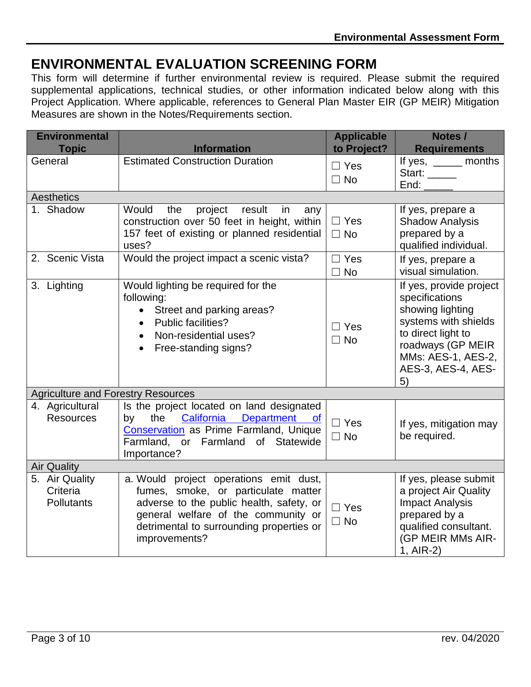## **ENVIRONMENTAL EVALUATION SCREENING FORM**

This form will determine if further environmental review is required. Please submit the required supplemental applications, technical studies, or other information indicated below along with this Project Application. Where applicable, references to General Plan Master EIR (GP MEIR) Mitigation Measures are shown in the Notes/Requirements section.

| <b>Environmental</b><br><b>Topic</b>      | <b>Information</b>                                                                                                                                                                                                            | <b>Applicable</b><br>to Project? | Notes /<br><b>Requirements</b>                                                                                                                                                     |
|-------------------------------------------|-------------------------------------------------------------------------------------------------------------------------------------------------------------------------------------------------------------------------------|----------------------------------|------------------------------------------------------------------------------------------------------------------------------------------------------------------------------------|
| General                                   | <b>Estimated Construction Duration</b>                                                                                                                                                                                        | $\Box$ Yes<br>$\Box$ No          | If yes, $\_\_\_\_\_\_\_\$ months<br>Start:<br>End:                                                                                                                                 |
| Aesthetics                                |                                                                                                                                                                                                                               |                                  |                                                                                                                                                                                    |
| 1. Shadow                                 | Would<br>project<br>the<br>result<br>in<br>any<br>construction over 50 feet in height, within<br>157 feet of existing or planned residential<br>uses?                                                                         | $\Box$ Yes<br>$\Box$ No          | If yes, prepare a<br><b>Shadow Analysis</b><br>prepared by a<br>qualified individual.                                                                                              |
| 2. Scenic Vista                           | Would the project impact a scenic vista?                                                                                                                                                                                      | $\Box$ Yes<br>$\Box$ No          | If yes, prepare a<br>visual simulation.                                                                                                                                            |
| 3. Lighting                               | Would lighting be required for the<br>following:<br>• Street and parking areas?<br><b>Public facilities?</b><br>Non-residential uses?<br>Free-standing signs?                                                                 | $\Box$ Yes<br>$\Box$ No          | If yes, provide project<br>specifications<br>showing lighting<br>systems with shields<br>to direct light to<br>roadways (GP MEIR<br>MMs: AES-1, AES-2,<br>AES-3, AES-4, AES-<br>5) |
| <b>Agriculture and Forestry Resources</b> |                                                                                                                                                                                                                               |                                  |                                                                                                                                                                                    |
| 4. Agricultural<br><b>Resources</b>       | Is the project located on land designated<br>California<br>the<br>Department of<br>by<br>Conservation as Prime Farmland, Unique<br>Farmland, or Farmland of Statewide<br>Importance?                                          | $\Box$ Yes<br>$\Box$ No          | If yes, mitigation may<br>be required.                                                                                                                                             |
| <b>Air Quality</b>                        |                                                                                                                                                                                                                               |                                  |                                                                                                                                                                                    |
| 5. Air Quality<br>Criteria<br>Pollutants  | a. Would project operations emit dust,<br>fumes, smoke, or particulate matter<br>adverse to the public health, safety, or<br>general welfare of the community or<br>detrimental to surrounding properties or<br>improvements? | $\Box$ Yes<br>$\Box$ No          | If yes, please submit<br>a project Air Quality<br><b>Impact Analysis</b><br>prepared by a<br>qualified consultant.<br>(GP MEIR MMs AIR-<br>1, AIR-2)                               |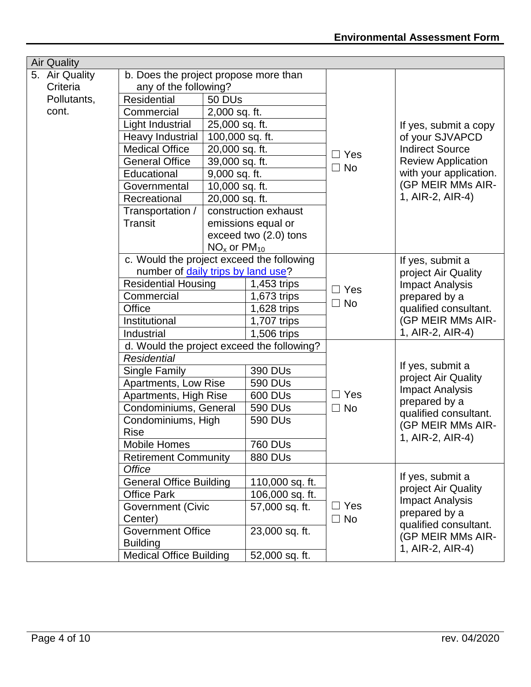| <b>Air Quality</b> |                                            |                                           |                                                                   |            |                                               |
|--------------------|--------------------------------------------|-------------------------------------------|-------------------------------------------------------------------|------------|-----------------------------------------------|
| 5. Air Quality     | b. Does the project propose more than      |                                           |                                                                   |            |                                               |
| Criteria           | any of the following?                      | 50 DU <sub>s</sub><br>2,000 sq. ft.       |                                                                   |            |                                               |
| Pollutants,        | <b>Residential</b>                         |                                           |                                                                   |            |                                               |
| cont.              | Commercial                                 |                                           |                                                                   |            |                                               |
|                    | Light Industrial                           | 25,000 sq. ft.                            |                                                                   |            | If yes, submit a copy                         |
|                    | Heavy Industrial                           |                                           |                                                                   |            | of your SJVAPCD                               |
|                    | <b>Medical Office</b>                      |                                           | 100,000 sq. ft.<br>20,000 sq. ft.<br>$\Box$ Yes<br>39,000 sq. ft. |            | <b>Indirect Source</b>                        |
|                    | <b>General Office</b>                      |                                           |                                                                   |            | <b>Review Application</b>                     |
|                    | Educational                                | 9,000 sq. ft.                             |                                                                   | $\Box$ No  | with your application.                        |
|                    | Governmental                               | 10,000 sq. ft.                            |                                                                   |            | (GP MEIR MMs AIR-                             |
|                    | Recreational                               | 20,000 sq. ft.                            |                                                                   |            | 1, AIR-2, AIR-4)                              |
|                    | Transportation /                           |                                           | construction exhaust                                              |            |                                               |
|                    | Transit                                    |                                           | emissions equal or                                                |            |                                               |
|                    |                                            | exceed two (2.0) tons                     |                                                                   |            |                                               |
|                    |                                            | $NOx$ or $PM10$                           |                                                                   |            |                                               |
|                    |                                            | c. Would the project exceed the following |                                                                   |            | If yes, submit a                              |
|                    | number of daily trips by land use?         |                                           |                                                                   |            | project Air Quality                           |
|                    | <b>Residential Housing</b>                 |                                           | $1,453$ trips                                                     | $\Box$ Yes | <b>Impact Analysis</b>                        |
|                    | Commercial                                 |                                           | 1,673 trips                                                       |            | prepared by a                                 |
|                    | Office                                     | 1,628 trips                               |                                                                   | $\Box$ No  | qualified consultant.                         |
|                    | Institutional                              |                                           | 1,707 trips                                                       |            | (GP MEIR MMs AIR-                             |
|                    | Industrial                                 |                                           | 1,506 trips                                                       |            | 1, AIR-2, AIR-4)                              |
|                    | d. Would the project exceed the following? |                                           |                                                                   |            |                                               |
|                    | <b>Residential</b>                         |                                           |                                                                   |            |                                               |
|                    | Single Family                              |                                           | 390 DUs                                                           |            | If yes, submit a                              |
|                    | Apartments, Low Rise                       |                                           | 590 DUs                                                           |            | project Air Quality<br><b>Impact Analysis</b> |
|                    | Apartments, High Rise                      |                                           | 600 DUs                                                           | $\Box$ Yes | prepared by a                                 |
|                    | Condominiums, General                      |                                           | 590 DUs                                                           | $\Box$ No  | qualified consultant.                         |
|                    | Condominiums, High                         |                                           | 590 DUs                                                           |            | (GP MEIR MMs AIR-                             |
|                    | <b>Rise</b>                                |                                           |                                                                   |            | 1, AIR-2, AIR-4)                              |
|                    | <b>Mobile Homes</b>                        |                                           | <b>760 DUs</b>                                                    |            |                                               |
|                    | <b>Retirement Community</b>                |                                           | <b>880 DUS</b>                                                    |            |                                               |
|                    | <b>Office</b>                              |                                           |                                                                   |            | If yes, submit a                              |
|                    | <b>General Office Building</b>             |                                           | 110,000 sq. ft.                                                   |            | project Air Quality                           |
|                    | <b>Office Park</b>                         |                                           | 106,000 sq. ft.                                                   |            | <b>Impact Analysis</b>                        |
|                    | <b>Government (Civic</b>                   |                                           | 57,000 sq. ft.                                                    | $\Box$ Yes | prepared by a                                 |
|                    | Center)                                    |                                           |                                                                   | $\Box$ No  | qualified consultant.                         |
|                    | <b>Government Office</b>                   |                                           | 23,000 sq. ft.                                                    |            | (GP MEIR MMs AIR-                             |
|                    | <b>Building</b>                            |                                           |                                                                   |            | 1, AIR-2, AIR-4)                              |
|                    | <b>Medical Office Building</b>             |                                           | 52,000 sq. ft.                                                    |            |                                               |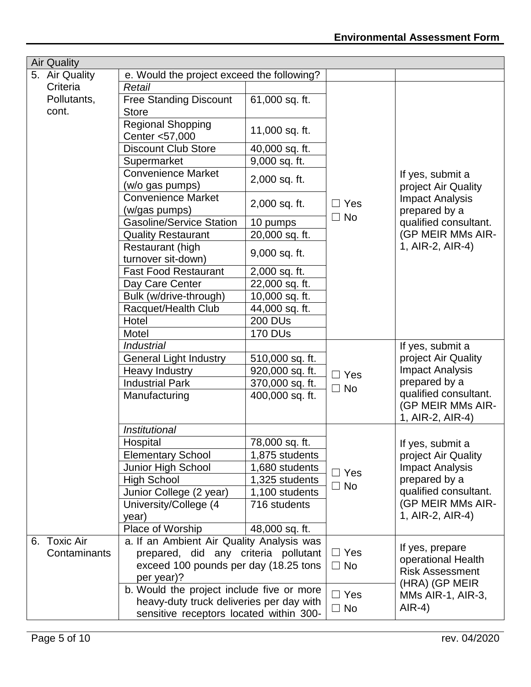|  | <b>Air Quality</b>   |                                                  |                 |            |                                                                                                                                                      |  |
|--|----------------------|--------------------------------------------------|-----------------|------------|------------------------------------------------------------------------------------------------------------------------------------------------------|--|
|  | 5. Air Quality       | e. Would the project exceed the following?       |                 |            |                                                                                                                                                      |  |
|  | Criteria             | Retail                                           |                 |            |                                                                                                                                                      |  |
|  | Pollutants,<br>cont. | <b>Free Standing Discount</b><br><b>Store</b>    | 61,000 sq. ft.  |            |                                                                                                                                                      |  |
|  |                      | <b>Regional Shopping</b>                         | 11,000 sq. ft.  |            |                                                                                                                                                      |  |
|  |                      | Center <57,000<br><b>Discount Club Store</b>     |                 |            |                                                                                                                                                      |  |
|  |                      |                                                  | 40,000 sq. ft.  |            |                                                                                                                                                      |  |
|  |                      | Supermarket<br><b>Convenience Market</b>         | 9,000 sq. ft.   |            |                                                                                                                                                      |  |
|  |                      |                                                  | 2,000 sq. ft.   |            | If yes, submit a                                                                                                                                     |  |
|  |                      | (w/o gas pumps)<br><b>Convenience Market</b>     |                 |            | project Air Quality                                                                                                                                  |  |
|  |                      |                                                  | 2,000 sq. ft.   | $\Box$ Yes | <b>Impact Analysis</b>                                                                                                                               |  |
|  |                      | (w/gas pumps)<br><b>Gasoline/Service Station</b> | 10 pumps        | $\Box$ No  | prepared by a                                                                                                                                        |  |
|  |                      | <b>Quality Restaurant</b>                        | 20,000 sq. ft.  |            | qualified consultant.<br>(GP MEIR MMs AIR-                                                                                                           |  |
|  |                      |                                                  |                 |            | 1, AIR-2, AIR-4)                                                                                                                                     |  |
|  |                      | Restaurant (high<br>turnover sit-down)           | 9,000 sq. ft.   |            |                                                                                                                                                      |  |
|  |                      | <b>Fast Food Restaurant</b>                      | 2,000 sq. ft.   |            |                                                                                                                                                      |  |
|  |                      | Day Care Center                                  | 22,000 sq. ft.  |            |                                                                                                                                                      |  |
|  |                      | Bulk (w/drive-through)                           | 10,000 sq. ft.  |            |                                                                                                                                                      |  |
|  |                      | Racquet/Health Club                              | 44,000 sq. ft.  |            |                                                                                                                                                      |  |
|  |                      | Hotel                                            | <b>200 DUs</b>  |            |                                                                                                                                                      |  |
|  |                      | Motel                                            | <b>170 DUs</b>  |            |                                                                                                                                                      |  |
|  |                      | <b>Industrial</b>                                |                 |            | If yes, submit a<br>project Air Quality<br><b>Impact Analysis</b><br>prepared by a<br>qualified consultant.<br>(GP MEIR MMs AIR-<br>1, AIR-2, AIR-4) |  |
|  |                      | <b>General Light Industry</b>                    | 510,000 sq. ft. |            |                                                                                                                                                      |  |
|  |                      | Heavy Industry                                   | 920,000 sq. ft. | $\Box$ Yes |                                                                                                                                                      |  |
|  |                      | <b>Industrial Park</b>                           | 370,000 sq. ft. | $\Box$ No  |                                                                                                                                                      |  |
|  |                      | Manufacturing                                    | 400,000 sq. ft. |            |                                                                                                                                                      |  |
|  |                      | Institutional                                    |                 |            |                                                                                                                                                      |  |
|  |                      | Hospital                                         | 78,000 sq. ft.  |            | If yes, submit a                                                                                                                                     |  |
|  |                      | <b>Elementary School</b>                         | 1,875 students  |            | project Air Quality                                                                                                                                  |  |
|  |                      | Junior High School                               | 1,680 students  | $\Box$ Yes | <b>Impact Analysis</b>                                                                                                                               |  |
|  |                      | <b>High School</b>                               | 1,325 students  |            | prepared by a                                                                                                                                        |  |
|  |                      | Junior College (2 year)                          | 1,100 students  | $\Box$ No  | qualified consultant.                                                                                                                                |  |
|  |                      | University/College (4                            | 716 students    |            | (GP MEIR MMs AIR-                                                                                                                                    |  |
|  |                      | year)                                            |                 |            | 1, AIR-2, AIR-4)                                                                                                                                     |  |
|  |                      | Place of Worship                                 | 48,000 sq. ft.  |            |                                                                                                                                                      |  |
|  | 6. Toxic Air         | a. If an Ambient Air Quality Analysis was        |                 |            |                                                                                                                                                      |  |
|  | Contaminants         | prepared, did any criteria pollutant             |                 | $\Box$ Yes | If yes, prepare                                                                                                                                      |  |
|  |                      | exceed 100 pounds per day (18.25 tons            |                 | $\Box$ No  | operational Health                                                                                                                                   |  |
|  |                      | per year)?                                       |                 |            | <b>Risk Assessment</b><br>(HRA) (GP MEIR                                                                                                             |  |
|  |                      | b. Would the project include five or more        |                 | $\Box$ Yes | MMs AIR-1, AIR-3,                                                                                                                                    |  |
|  |                      | heavy-duty truck deliveries per day with         |                 |            | $AlR-4)$                                                                                                                                             |  |
|  |                      | sensitive receptors located within 300-          |                 | $\Box$ No  |                                                                                                                                                      |  |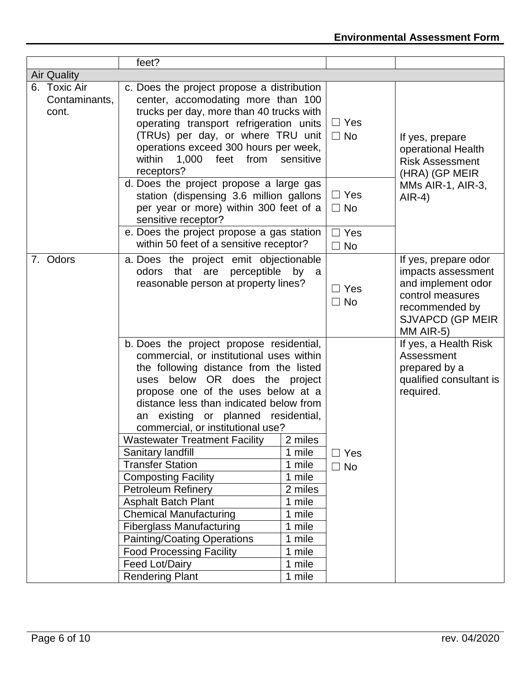|                                        | feet?                                                                                                                                                                                                                                                                                                                                                                                                                                                  |                                                                                                                                                                                                                                                                                                                                                                     |                                                                                   |                                                                                                                                         |
|----------------------------------------|--------------------------------------------------------------------------------------------------------------------------------------------------------------------------------------------------------------------------------------------------------------------------------------------------------------------------------------------------------------------------------------------------------------------------------------------------------|---------------------------------------------------------------------------------------------------------------------------------------------------------------------------------------------------------------------------------------------------------------------------------------------------------------------------------------------------------------------|-----------------------------------------------------------------------------------|-----------------------------------------------------------------------------------------------------------------------------------------|
| <b>Air Quality</b>                     |                                                                                                                                                                                                                                                                                                                                                                                                                                                        |                                                                                                                                                                                                                                                                                                                                                                     |                                                                                   |                                                                                                                                         |
| 6. Toxic Air<br>Contaminants,<br>cont. | c. Does the project propose a distribution<br>center, accomodating more than 100<br>trucks per day, more than 40 trucks with<br>operating transport refrigeration units<br>(TRUs) per day, or where TRU unit<br>operations exceed 300 hours per week,<br>within<br>1,000<br>from<br>feet<br>sensitive<br>receptors?                                                                                                                                    | $\Box$ Yes<br>$\Box$ No                                                                                                                                                                                                                                                                                                                                             | If yes, prepare<br>operational Health<br><b>Risk Assessment</b><br>(HRA) (GP MEIR |                                                                                                                                         |
|                                        | d. Does the project propose a large gas<br>station (dispensing 3.6 million gallons<br>per year or more) within 300 feet of a<br>sensitive receptor?<br>e. Does the project propose a gas station<br>within 50 feet of a sensitive receptor?                                                                                                                                                                                                            |                                                                                                                                                                                                                                                                                                                                                                     | $\Box$ Yes<br>$\Box$ No<br>$\Box$ Yes<br>$\Box$ No                                | MMs AIR-1, AIR-3,<br>$AlR-4)$                                                                                                           |
| 7. Odors                               |                                                                                                                                                                                                                                                                                                                                                                                                                                                        | a. Does the project emit objectionable<br>odors that are perceptible by a<br>reasonable person at property lines?                                                                                                                                                                                                                                                   |                                                                                   | If yes, prepare odor<br>impacts assessment<br>and implement odor<br>control measures<br>recommended by<br>SJVAPCD (GP MEIR<br>MM AIR-5) |
|                                        | b. Does the project propose residential,<br>an<br>commercial, or institutional use?<br><b>Wastewater Treatment Facility</b><br>Sanitary landfill<br><b>Transfer Station</b><br><b>Composting Facility</b><br>Petroleum Refinery<br><b>Asphalt Batch Plant</b><br><b>Chemical Manufacturing</b><br><b>Fiberglass Manufacturing</b><br><b>Painting/Coating Operations</b><br><b>Food Processing Facility</b><br>Feed Lot/Dairy<br><b>Rendering Plant</b> | commercial, or institutional uses within<br>the following distance from the listed<br>uses below OR does the project<br>propose one of the uses below at a<br>distance less than indicated below from<br>existing or planned residential,<br>2 miles<br>1 mile<br>1 mile<br>1 mile<br>2 miles<br>1 mile<br>1 mile<br>1 mile<br>1 mile<br>1 mile<br>1 mile<br>1 mile |                                                                                   | If yes, a Health Risk<br>Assessment<br>prepared by a<br>qualified consultant is<br>required.                                            |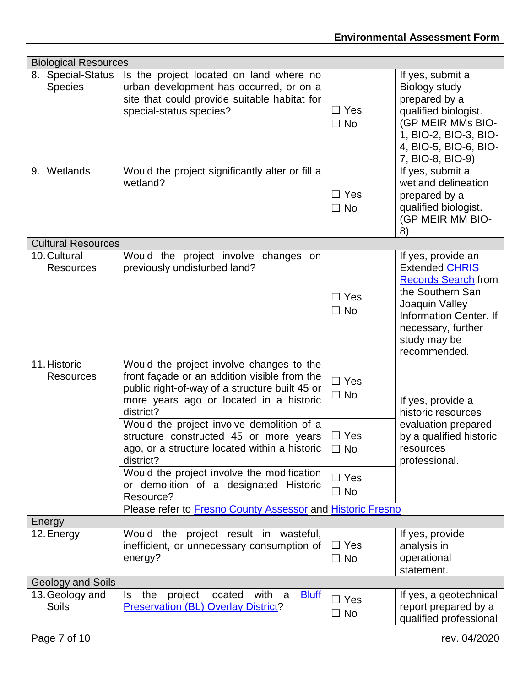|                                     | <b>Biological Resources</b>                                                                                                                                                                                                                                                                                                                                                                                                                     |                                                                  |                                                                                                                                                                                                 |  |  |  |
|-------------------------------------|-------------------------------------------------------------------------------------------------------------------------------------------------------------------------------------------------------------------------------------------------------------------------------------------------------------------------------------------------------------------------------------------------------------------------------------------------|------------------------------------------------------------------|-------------------------------------------------------------------------------------------------------------------------------------------------------------------------------------------------|--|--|--|
| 8. Special-Status<br><b>Species</b> | Is the project located on land where no<br>urban development has occurred, or on a<br>site that could provide suitable habitat for<br>special-status species?                                                                                                                                                                                                                                                                                   | $\Box$ Yes<br>$\Box$ No                                          | If yes, submit a<br>Biology study<br>prepared by a<br>qualified biologist.<br>(GP MEIR MMs BIO-<br>1, BIO-2, BIO-3, BIO-<br>4, BIO-5, BIO-6, BIO-<br>7, BIO-8, BIO-9)                           |  |  |  |
| 9. Wetlands                         | Would the project significantly alter or fill a<br>wetland?                                                                                                                                                                                                                                                                                                                                                                                     | $\Box$ Yes<br>$\Box$ No                                          | If yes, submit a<br>wetland delineation<br>prepared by a<br>qualified biologist.<br>(GP MEIR MM BIO-<br>8)                                                                                      |  |  |  |
| <b>Cultural Resources</b>           |                                                                                                                                                                                                                                                                                                                                                                                                                                                 |                                                                  |                                                                                                                                                                                                 |  |  |  |
| 10. Cultural<br><b>Resources</b>    | Would the project involve<br>changes on<br>previously undisturbed land?                                                                                                                                                                                                                                                                                                                                                                         | $\sqsupset$ Yes<br>$\Box$ No                                     | If yes, provide an<br><b>Extended CHRIS</b><br><b>Records Search from</b><br>the Southern San<br>Joaquin Valley<br>Information Center. If<br>necessary, further<br>study may be<br>recommended. |  |  |  |
| 11. Historic<br><b>Resources</b>    | Would the project involve changes to the<br>front façade or an addition visible from the<br>public right-of-way of a structure built 45 or<br>more years ago or located in a historic<br>district?<br>Would the project involve demolition of a<br>structure constructed 45 or more years<br>ago, or a structure located within a historic<br>district?<br>Would the project involve the modification<br>or demolition of a designated Historic | $\Box$ Yes<br>$\Box$ No<br>$\Box$ Yes<br>$\Box$ No<br>$\Box$ Yes | If yes, provide a<br>historic resources<br>evaluation prepared<br>by a qualified historic<br>resources<br>professional.                                                                         |  |  |  |
|                                     | Resource?<br>Please refer to Fresno County Assessor and Historic Fresno                                                                                                                                                                                                                                                                                                                                                                         | $\Box$ No                                                        |                                                                                                                                                                                                 |  |  |  |
|                                     |                                                                                                                                                                                                                                                                                                                                                                                                                                                 |                                                                  |                                                                                                                                                                                                 |  |  |  |
| Energy<br>12. Energy                | project result in wasteful,<br>Would the<br>inefficient, or unnecessary consumption of<br>energy?                                                                                                                                                                                                                                                                                                                                               | $\Box$ Yes<br>$\Box$ No                                          | If yes, provide<br>analysis in<br>operational<br>statement.                                                                                                                                     |  |  |  |
| Geology and Soils                   |                                                                                                                                                                                                                                                                                                                                                                                                                                                 |                                                                  |                                                                                                                                                                                                 |  |  |  |
| 13. Geology and<br>Soils            | located<br>with a<br>the<br>project<br><b>Bluff</b><br>ls.<br><b>Preservation (BL) Overlay District?</b>                                                                                                                                                                                                                                                                                                                                        | $\Box$ Yes<br>$\Box$ No                                          | If yes, a geotechnical<br>report prepared by a<br>qualified professional                                                                                                                        |  |  |  |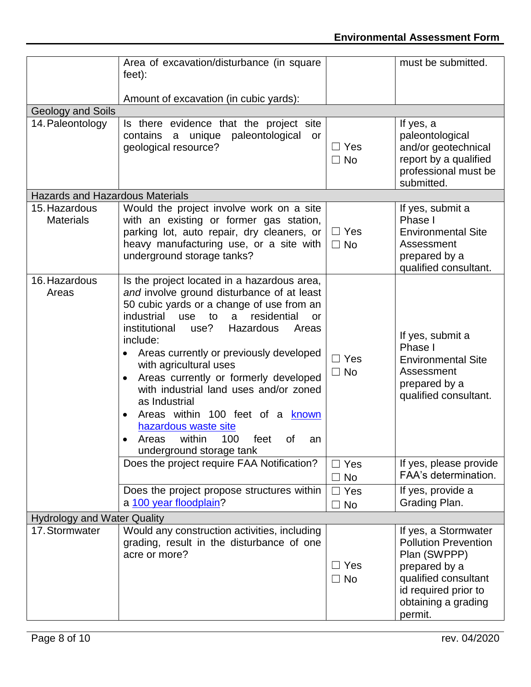### **Environmental Assessment Form**

|                                        | Area of excavation/disturbance (in square<br>$feet)$ :                                                                                                                                                                                                                                                                                                                                                                                                                                                                                                                                                     |                         | must be submitted.                                                                                                                                                     |
|----------------------------------------|------------------------------------------------------------------------------------------------------------------------------------------------------------------------------------------------------------------------------------------------------------------------------------------------------------------------------------------------------------------------------------------------------------------------------------------------------------------------------------------------------------------------------------------------------------------------------------------------------------|-------------------------|------------------------------------------------------------------------------------------------------------------------------------------------------------------------|
|                                        | Amount of excavation (in cubic yards):                                                                                                                                                                                                                                                                                                                                                                                                                                                                                                                                                                     |                         |                                                                                                                                                                        |
| Geology and Soils                      |                                                                                                                                                                                                                                                                                                                                                                                                                                                                                                                                                                                                            |                         |                                                                                                                                                                        |
| 14. Paleontology                       | Is there evidence that the project site<br>unique<br>paleontological<br>contains<br>a<br>or<br>geological resource?                                                                                                                                                                                                                                                                                                                                                                                                                                                                                        | $\Box$ Yes<br>$\Box$ No | If yes, a<br>paleontological<br>and/or geotechnical<br>report by a qualified<br>professional must be<br>submitted.                                                     |
| <b>Hazards and Hazardous Materials</b> |                                                                                                                                                                                                                                                                                                                                                                                                                                                                                                                                                                                                            |                         |                                                                                                                                                                        |
| 15. Hazardous<br><b>Materials</b>      | Would the project involve work on a site<br>with an existing or former gas station,<br>parking lot, auto repair, dry cleaners, or<br>heavy manufacturing use, or a site with<br>underground storage tanks?                                                                                                                                                                                                                                                                                                                                                                                                 | $\Box$ Yes<br>$\Box$ No | If yes, submit a<br>Phase I<br><b>Environmental Site</b><br>Assessment<br>prepared by a<br>qualified consultant.                                                       |
| 16. Hazardous<br>Areas                 | Is the project located in a hazardous area,<br>and involve ground disturbance of at least<br>50 cubic yards or a change of use from an<br>residential<br>industrial<br>use<br>to<br>$\mathbf{a}$<br>or<br>institutional<br>use?<br>Hazardous<br>Areas<br>include:<br>Areas currently or previously developed<br>with agricultural uses<br>Areas currently or formerly developed<br>$\bullet$<br>with industrial land uses and/or zoned<br>as Industrial<br>Areas within 100 feet of a known<br>$\bullet$<br>hazardous waste site<br>within<br>100<br>Areas<br>feet<br>of<br>an<br>underground storage tank | Yes<br>$\Box$ No        | If yes, submit a<br>Phase I<br><b>Environmental Site</b><br>Assessment<br>prepared by a<br>qualified consultant.                                                       |
|                                        | Does the project require FAA Notification?                                                                                                                                                                                                                                                                                                                                                                                                                                                                                                                                                                 | ∃ Yes<br>$\Box$ No      | If yes, please provide<br>FAA's determination.                                                                                                                         |
|                                        | Does the project propose structures within<br>a 100 year floodplain?                                                                                                                                                                                                                                                                                                                                                                                                                                                                                                                                       | $\Box$ Yes<br>$\Box$ No | If yes, provide a<br>Grading Plan.                                                                                                                                     |
| <b>Hydrology and Water Quality</b>     |                                                                                                                                                                                                                                                                                                                                                                                                                                                                                                                                                                                                            |                         |                                                                                                                                                                        |
| 17. Stormwater                         | Would any construction activities, including<br>grading, result in the disturbance of one<br>acre or more?                                                                                                                                                                                                                                                                                                                                                                                                                                                                                                 | $\Box$ Yes<br>$\Box$ No | If yes, a Stormwater<br><b>Pollution Prevention</b><br>Plan (SWPPP)<br>prepared by a<br>qualified consultant<br>id required prior to<br>obtaining a grading<br>permit. |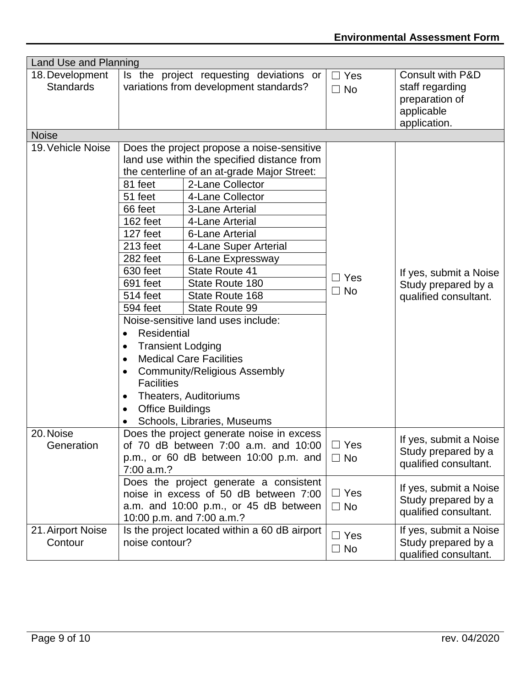| Land Use and Planning               |                                                                                                                                                                                                                                                                                     |                                                                                                                                                                                                                                                                                                                                                                                                                                                                                                                                                 |                         |                                                                                     |
|-------------------------------------|-------------------------------------------------------------------------------------------------------------------------------------------------------------------------------------------------------------------------------------------------------------------------------------|-------------------------------------------------------------------------------------------------------------------------------------------------------------------------------------------------------------------------------------------------------------------------------------------------------------------------------------------------------------------------------------------------------------------------------------------------------------------------------------------------------------------------------------------------|-------------------------|-------------------------------------------------------------------------------------|
| 18. Development<br><b>Standards</b> |                                                                                                                                                                                                                                                                                     | Is the project requesting deviations or<br>variations from development standards?                                                                                                                                                                                                                                                                                                                                                                                                                                                               | $\Box$ Yes<br>$\Box$ No | Consult with P&D<br>staff regarding<br>preparation of<br>applicable<br>application. |
| <b>Noise</b>                        |                                                                                                                                                                                                                                                                                     |                                                                                                                                                                                                                                                                                                                                                                                                                                                                                                                                                 |                         |                                                                                     |
| 19. Vehicle Noise                   | 81 feet<br>51 feet<br>66 feet<br>162 feet<br>127 feet<br>213 feet<br>282 feet<br>630 feet<br>691 feet<br>514 feet<br>594 feet<br><b>Residential</b><br>$\bullet$<br><b>Transient Lodging</b><br>$\bullet$<br>$\bullet$<br><b>Facilities</b><br>$\bullet$<br><b>Office Buildings</b> | Does the project propose a noise-sensitive<br>land use within the specified distance from<br>the centerline of an at-grade Major Street:<br>2-Lane Collector<br>4-Lane Collector<br>3-Lane Arterial<br>4-Lane Arterial<br><b>6-Lane Arterial</b><br>4-Lane Super Arterial<br>6-Lane Expressway<br>State Route 41<br>State Route 180<br>State Route 168<br>State Route 99<br>Noise-sensitive land uses include:<br><b>Medical Care Facilities</b><br><b>Community/Religious Assembly</b><br>Theaters, Auditoriums<br>Schools, Libraries, Museums | $\Box$ Yes<br>$\Box$ No | If yes, submit a Noise<br>Study prepared by a<br>qualified consultant.              |
| 20. Noise<br>Generation             | 7:00 a.m.?                                                                                                                                                                                                                                                                          | Does the project generate noise in excess<br>of 70 dB between 7:00 a.m. and 10:00<br>p.m., or 60 dB between 10:00 p.m. and                                                                                                                                                                                                                                                                                                                                                                                                                      | $\Box$ Yes<br>$\Box$ No | If yes, submit a Noise<br>Study prepared by a<br>qualified consultant.              |
|                                     | Does the project generate a consistent<br>noise in excess of 50 dB between 7:00<br>a.m. and 10:00 p.m., or 45 dB between<br>10:00 p.m. and 7:00 a.m.?                                                                                                                               |                                                                                                                                                                                                                                                                                                                                                                                                                                                                                                                                                 | $\Box$ Yes<br>$\Box$ No | If yes, submit a Noise<br>Study prepared by a<br>qualified consultant.              |
| 21. Airport Noise<br>Contour        | noise contour?                                                                                                                                                                                                                                                                      | Is the project located within a 60 dB airport                                                                                                                                                                                                                                                                                                                                                                                                                                                                                                   | $\Box$ Yes<br>$\Box$ No | If yes, submit a Noise<br>Study prepared by a<br>qualified consultant.              |